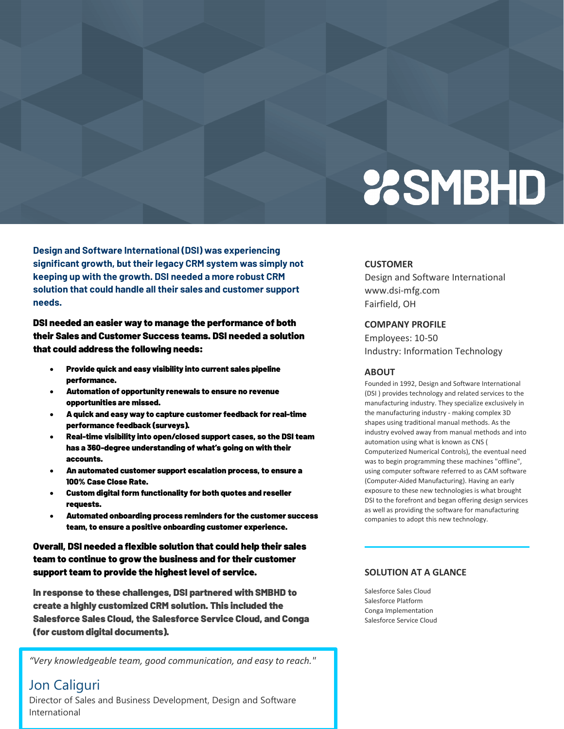# **2SMBHD**

**Design and Software International (DSI) was experiencing significant growth, but their legacy CRM system was simply not keeping up with the growth. DSI needed a more robust CRM solution that could handle all their sales and customer support needs.**

DSI needed an easier way to manage the performance of both their Sales and Customer Success teams. DSI needed a solution that could address the following needs:

- Provide quick and easy visibility into current sales pipeline performance.
- Automation of opportunity renewals to ensure no revenue opportunities are missed.
- A quick and easy way to capture customer feedback for real-time performance feedback (surveys).
- Real-time visibility into open/closed support cases, so the DSI team has a 360-degree understanding of what's going on with their accounts.
- An automated customer support escalation process, to ensure a 100% Case Close Rate.
- Custom digital form functionality for both quotes and reseller requests.
- Automated onboarding process reminders for the customer success team, to ensure a positive onboarding customer experience.

Overall, DSI needed a flexible solution that could help their sales team to continue to grow the business and for their customer support team to provide the highest level of service.

In response to these challenges, DSI partnered with SMBHD to create a highly customized CRM solution. This included the Salesforce Sales Cloud, the Salesforce Service Cloud, and Conga (for custom digital documents).

*"Very knowledgeable team, good communication, and easy to reach."*

# Jon Caliguri

Director of Sales and Business Development, Design and Software International

#### **CUSTOMER**

Design and Software International www.dsi-mfg.com Fairfield, OH

### **COMPANY PROFILE**

Employees: 10-50 Industry: Information Technology

#### **ABOUT**

Founded in 1992, Design and Software International (DSI ) provides technology and related services to the manufacturing industry. They specialize exclusively in the manufacturing industry - making complex 3D shapes using traditional manual methods. As the industry evolved away from manual methods and into automation using what is known as CNS ( Computerized Numerical Controls), the eventual need was to begin programming these machines "offline", using computer software referred to as CAM software (Computer-Aided Manufacturing). Having an early exposure to these new technologies is what brought DSI to the forefront and began offering design services as well as providing the software for manufacturing companies to adopt this new technology.

## **SOLUTION AT A GLANCE**

Salesforce Sales Cloud Salesforce Platform Conga Implementation Salesforce Service Cloud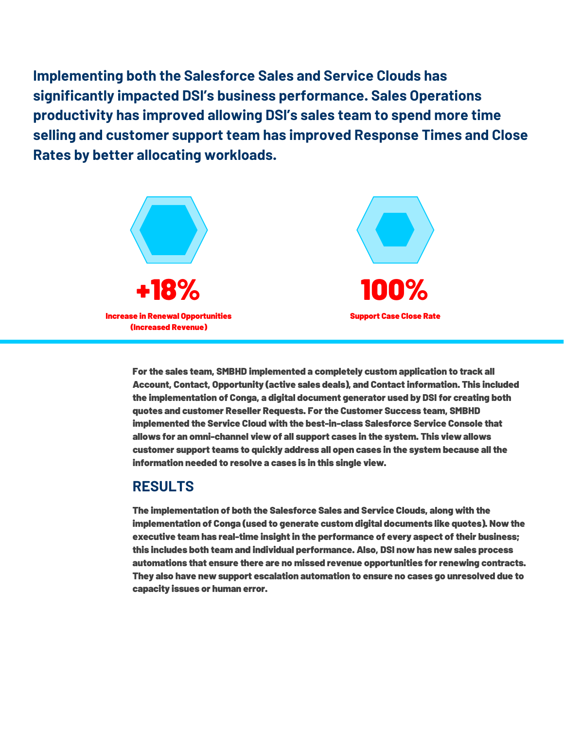**Implementing both the Salesforce Sales and Service Clouds has significantly impacted DSI's business performance. Sales Operations productivity has improved allowing DSI's sales team to spend more time selling and customer support team has improved Response Times and Close Rates by better allocating workloads.** 



For the sales team, SMBHD implemented a completely custom application to track all Account, Contact, Opportunity (active sales deals), and Contactinformation. This included the implementation of Conga, a digital document generator used by DSI for creating both quotes and customer Reseller Requests. For the Customer Success team, SMBHD implemented the Service Cloud with the best-in-class Salesforce Service Console that allows for an omni-channel view of all support cases in the system. This view allows customer support teams to quickly address all open cases in the system because all the information needed to resolve a cases is in this single view.

## **RESULTS**

The implementation of both the Salesforce Sales and Service Clouds, along with the implementation of Conga (used to generate custom digital documents like quotes). Now the executive team has real-time insight in the performance of every aspect of their business; this includes both team and individual performance. Also, DSI now has new sales process automations that ensure there are no missed revenue opportunities for renewing contracts. They also have new support escalation automation to ensure no cases go unresolved due to capacity issues or human error.